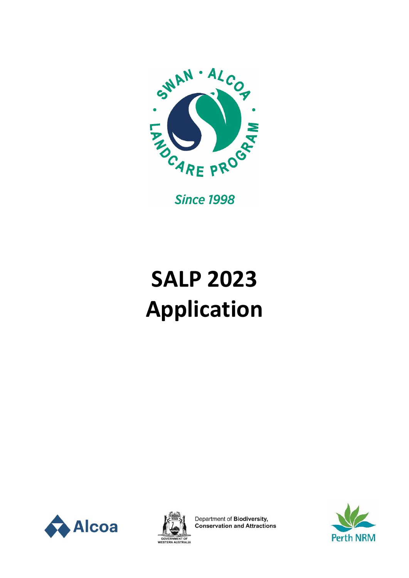

**Since 1998** 

# **SALP 2023 Application**





Department of Biodiversity,<br>Conservation and Attractions

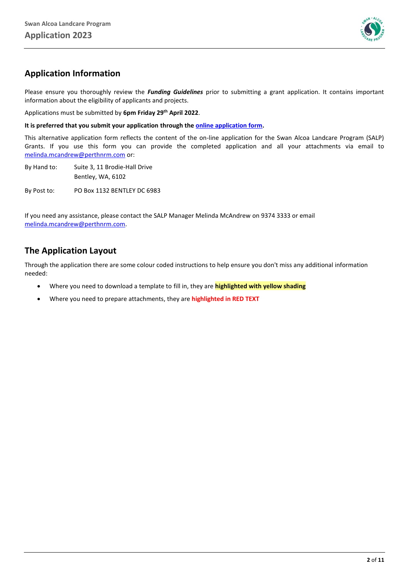

#### **Application Information**

Please ensure you thoroughly review the *Funding Guidelines* prior to submitting a grant application. It contains important information about the eligibility of applicants and projects.

Applications must be submitted by **6pm Friday 29th April 2022**.

**It is preferred that you submit your application through the [online application form.](https://perthnrm.formstack.com/forms/salp_2023)**

This alternative application form reflects the content of the on-line application for the Swan Alcoa Landcare Program (SALP) Grants. If you use this form you can provide the completed application and all your attachments via email to [melinda.mcandrew@perthnrm.com](mailto:melinda.mcandrew@perthnrm.com) or:

By Hand to: Suite 3, 11 Brodie-Hall Drive Bentley, WA, 6102 By Post to: PO Box 1132 BENTLEY DC 6983

If you need any assistance, please contact the SALP Manager Melinda McAndrew on 9374 3333 or email [melinda.mcandrew@perthnrm.com.](mailto:melinda.mcandrew@perthnrm.com)

#### **The Application Layout**

Through the application there are some colour coded instructions to help ensure you don't miss any additional information needed:

- Where you need to download a template to fill in, they are **highlighted with yellow shading**
- Where you need to prepare attachments, they are **highlighted in RED TEXT**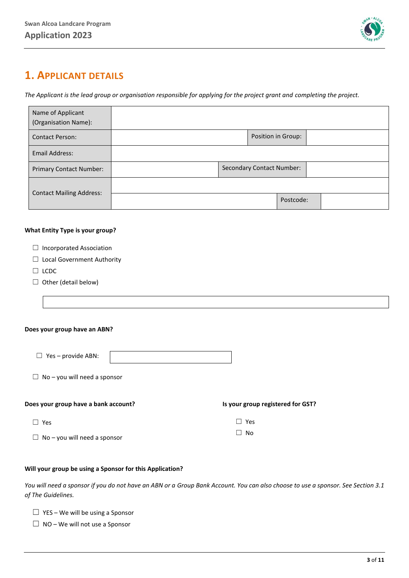

# **1. APPLICANT DETAILS**

*The Applicant is the lead group or organisation responsible for applying for the project grant and completing the project.*

| Name of Applicant<br>(Organisation Name): |                    |                                  |  |
|-------------------------------------------|--------------------|----------------------------------|--|
| <b>Contact Person:</b>                    | Position in Group: |                                  |  |
| Email Address:                            |                    |                                  |  |
| <b>Primary Contact Number:</b>            |                    | <b>Secondary Contact Number:</b> |  |
| <b>Contact Mailing Address:</b>           |                    |                                  |  |
|                                           | Postcode:          |                                  |  |

#### **What Entity Type is your group?**

- ☐ Local Government Authority
- ☐ LCDC
- $\Box$  Other (detail below)

#### **Does your group have an ABN?**

| $\Box$ Yes – provide ABN: |  |
|---------------------------|--|
|                           |  |

|  |  |  |  |  | $\Box$ No – you will need a sponsor |
|--|--|--|--|--|-------------------------------------|
|--|--|--|--|--|-------------------------------------|

#### **Does your group have a bank account? Is your group registered for GST?**

 $□$  Yes  $□$  Yes

 $\Box$  No – you will need a sponsor

#### **Will your group be using a Sponsor for this Application?**

*You will need a sponsor if you do not have an ABN or a Group Bank Account. You can also choose to use a sponsor. See Section 3.1 of The Guidelines.*

☐ No

- $\Box$  YES We will be using a Sponsor
- $\Box$  NO We will not use a Sponsor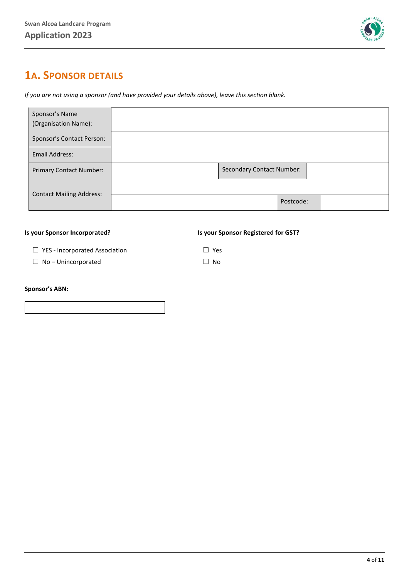

# **1A. SPONSOR DETAILS**

*If you are not using a sponsor (and have provided your details above), leave this section blank.* 

| Sponsor's Name<br>(Organisation Name): |                                  |  |
|----------------------------------------|----------------------------------|--|
| Sponsor's Contact Person:              |                                  |  |
| Email Address:                         |                                  |  |
| <b>Primary Contact Number:</b>         | <b>Secondary Contact Number:</b> |  |
| <b>Contact Mailing Address:</b>        |                                  |  |
|                                        | Postcode:                        |  |

#### **Is your Sponsor Incorporated? Is your Sponsor Registered for GST?**

☐ YES - Incorporated Association ☐ Yes

☐ No – Unincorporated ☐ No

#### **Sponsor's ABN:**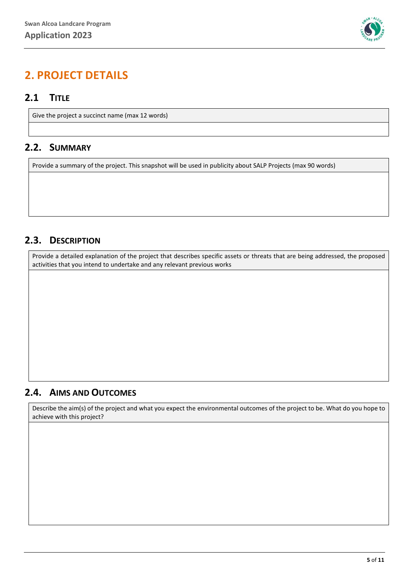

# **2. PROJECT DETAILS**

#### **2.1 TITLE**

Give the project a succinct name (max 12 words)

#### **2.2. SUMMARY**

Provide a summary of the project. This snapshot will be used in publicity about SALP Projects (max 90 words)

#### **2.3. DESCRIPTION**

Provide a detailed explanation of the project that describes specific assets or threats that are being addressed, the proposed activities that you intend to undertake and any relevant previous works

#### **2.4. AIMS AND OUTCOMES**

Describe the aim(s) of the project and what you expect the environmental outcomes of the project to be. What do you hope to achieve with this project?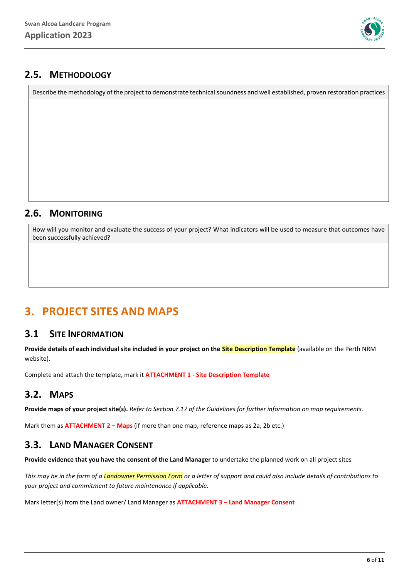

#### **2.5. METHODOLOGY**

Describe the methodology of the project to demonstrate technical soundness and well established, proven restoration practices

#### **2.6. MONITORING**

How will you monitor and evaluate the success of your project? What indicators will be used to measure that outcomes have been successfully achieved?

# **3. PROJECT SITES AND MAPS**

#### **3.1 SITE INFORMATION**

**Provide details of each individual site included in your project on the Site Description Template** (available on the Perth NRM website).

Complete and attach the template, mark it **ATTACHMENT 1 - Site Description Template**

### **3.2. MAPS**

**Provide maps of your project site(s).** *Refer to Section 7.17 of the Guidelines for further information on map requirements.*

Mark them as **ATTACHMENT 2 – Maps** (if more than one map, reference maps as 2a, 2b etc.)

### **3.3. LAND MANAGER CONSENT**

**Provide evidence that you have the consent of the Land Manager** to undertake the planned work on all project sites

*This may be in the form of a Landowner Permission Form or a letter of support and could also include details of contributions to your project and commitment to future maintenance if applicable.*

Mark letter(s) from the Land owner/ Land Manager as **ATTACHMENT 3 – Land Manager Consent**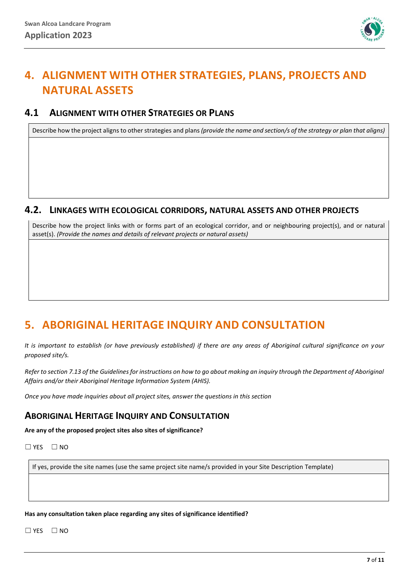

# **4. ALIGNMENT WITH OTHER STRATEGIES, PLANS, PROJECTS AND NATURAL ASSETS**

#### **4.1 ALIGNMENT WITH OTHER STRATEGIES OR PLANS**

Describe how the project aligns to other strategies and plans*(provide the name and section/s of the strategy or plan that aligns)*

#### **4.2. LINKAGES WITH ECOLOGICAL CORRIDORS, NATURAL ASSETS AND OTHER PROJECTS**

Describe how the project links with or forms part of an ecological corridor, and or neighbouring project(s), and or natural asset(s). *(Provide the names and details of relevant projects or natural assets)*

# **5. ABORIGINAL HERITAGE INQUIRY AND CONSULTATION**

*It is important to establish (or have previously established) if there are any areas of Aboriginal cultural significance on your proposed site/s.*

*Refer to section 7.13 of the Guidelines for instructions on how to go about making an inquiry through the Department of Aboriginal Affairs and/or their Aboriginal Heritage Information System (AHIS).*

*Once you have made inquiries about all project sites, answer the questions in this section*

#### **ABORIGINAL HERITAGE INQUIRY AND CONSULTATION**

**Are any of the proposed project sites also sites of significance?**

 $\square$  YES  $\square$  NO

If yes, provide the site names (use the same project site name/s provided in your Site Description Template)

**Has any consultation taken place regarding any sites of significance identified?**

 $\square$  YES  $\square$  NO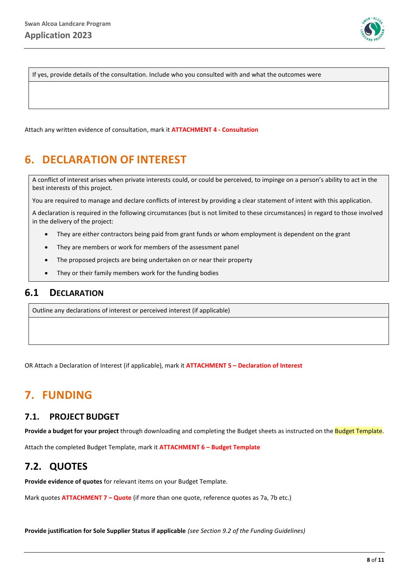

If yes, provide details of the consultation. Include who you consulted with and what the outcomes were

Attach any written evidence of consultation, mark it **ATTACHMENT 4 - Consultation**

# **6. DECLARATION OF INTEREST**

A conflict of interest arises when private interests could, or could be perceived, to impinge on a person's ability to act in the best interests of this project.

You are required to manage and declare conflicts of interest by providing a clear statement of intent with this application.

A declaration is required in the following circumstances (but is not limited to these circumstances) in regard to those involved in the delivery of the project:

- They are either contractors being paid from grant funds or whom employment is dependent on the grant
- They are members or work for members of the assessment panel
- The proposed projects are being undertaken on or near their property
- They or their family members work for the funding bodies

#### **6.1 DECLARATION**

Outline any declarations of interest or perceived interest (if applicable)

OR Attach a Declaration of Interest (if applicable), mark it **ATTACHMENT 5 – Declaration of Interest**

## **7. FUNDING**

#### **7.1. PROJECT BUDGET**

**Provide a budget for your project** through downloading and completing the Budget sheets as instructed on the Budget Template.

Attach the completed Budget Template, mark it **ATTACHMENT 6 – Budget Template**

### **7.2. QUOTES**

**Provide evidence of quotes** for relevant items on your Budget Template.

Mark quotes **ATTACHMENT 7 – Quote** (if more than one quote, reference quotes as 7a, 7b etc.)

**Provide justification for Sole Supplier Status if applicable** *(see Section 9.2 of the Funding Guidelines)*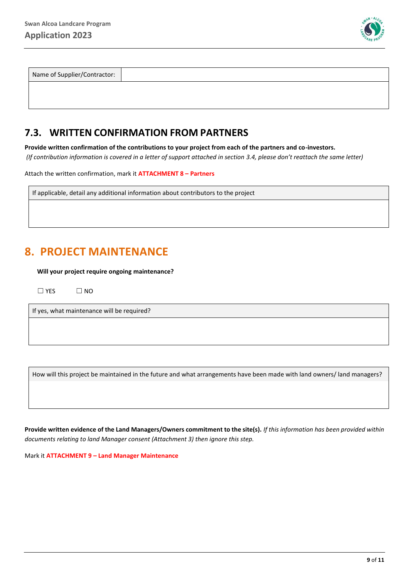

| Name of Supplier/Contractor: |  |
|------------------------------|--|
|                              |  |

#### **7.3. WRITTEN CONFIRMATION FROM PARTNERS**

**Provide written confirmation of the contributions to your project from each of the partners and co-investors.** *(If contribution information is covered in a letter of support attached in section 3.4, please don't reattach the same letter)*

Attach the written confirmation, mark it **ATTACHMENT 8 – Partners**

If applicable, detail any additional information about contributors to the project

# **8. PROJECT MAINTENANCE**

**Will your project require ongoing maintenance?**

 $\square$  YES  $\square$  NO

If yes, what maintenance will be required?

How will this project be maintained in the future and what arrangements have been made with land owners/ land managers?

**Provide written evidence of the Land Managers/Owners commitment to the site(s).** *If this information has been provided within documents relating to land Manager consent (Attachment 3) then ignore this step.*

Mark it **ATTACHMENT 9 – Land Manager Maintenance**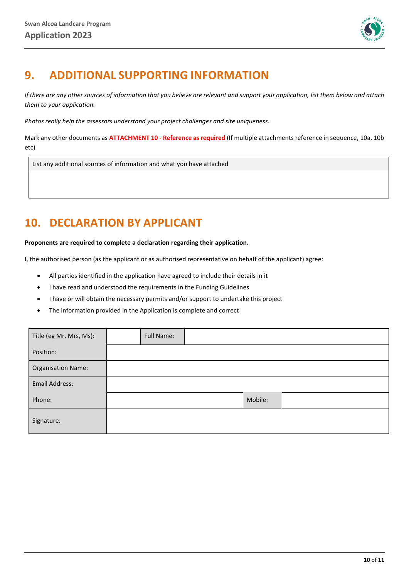

# **9. ADDITIONAL SUPPORTING INFORMATION**

*If there are any other sources of information that you believe are relevant and support your application, list them below and attach them to your application.* 

*Photos really help the assessors understand your project challenges and site uniqueness.*

Mark any other documents as **ATTACHMENT 10 - Reference as required** (If multiple attachments reference in sequence, 10a, 10b etc)

List any additional sources of information and what you have attached

# **10. DECLARATION BY APPLICANT**

**Proponents are required to complete a declaration regarding their application.** 

I, the authorised person (as the applicant or as authorised representative on behalf of the applicant) agree:

- All parties identified in the application have agreed to include their details in it
- I have read and understood the requirements in the Funding Guidelines
- I have or will obtain the necessary permits and/or support to undertake this project
- The information provided in the Application is complete and correct

| Title (eg Mr, Mrs, Ms):   | Full Name: |         |  |
|---------------------------|------------|---------|--|
| Position:                 |            |         |  |
| <b>Organisation Name:</b> |            |         |  |
| Email Address:            |            |         |  |
| Phone:                    |            | Mobile: |  |
| Signature:                |            |         |  |